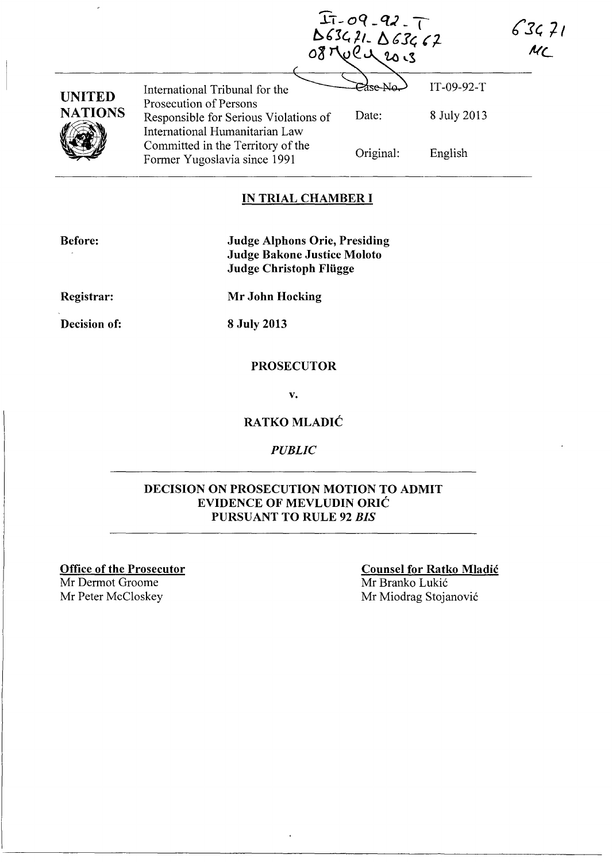$63471$  $MC$ 

|                |                                                                                                   | IT-09-92-T<br>D634?1- D63462<br>20.3 |             |  |
|----------------|---------------------------------------------------------------------------------------------------|--------------------------------------|-------------|--|
| <b>UNITED</b>  | International Tribunal for the                                                                    |                                      | IT-09-92-T  |  |
| <b>NATIONS</b> | Prosecution of Persons<br>Responsible for Serious Violations of<br>International Humanitarian Law | Date:                                | 8 July 2013 |  |
|                | Committed in the Territory of the<br>Former Yugoslavia since 1991                                 | Original:                            | English     |  |

### **IN TRIAL CHAMBER I**

**Before:** 

**Judge Alphons Orie, Presiding Judge Bakone Justice Moloto Judge Christoph Fliigge** 

**Registrar:** 

**Decision of:** 

**8 July 2013** 

**Mr John Hocking** 

#### **PROSECUTOR**

v.

### **RATKO MLADIC**

*PUBLIC* 

#### **DECISION ON PROSECUTION MOTION TO ADMIT EVIDENCE OF MEVLUDIN ORIC PURSUANT TO RULE 92** *BIS*

**Office of the Prosecutor** 

Mr Dermot Groome

**Counsel for Ratko Mladic**  Mr Branko Lukić Mr Peter McCloskey Mr Miodrag Stojanović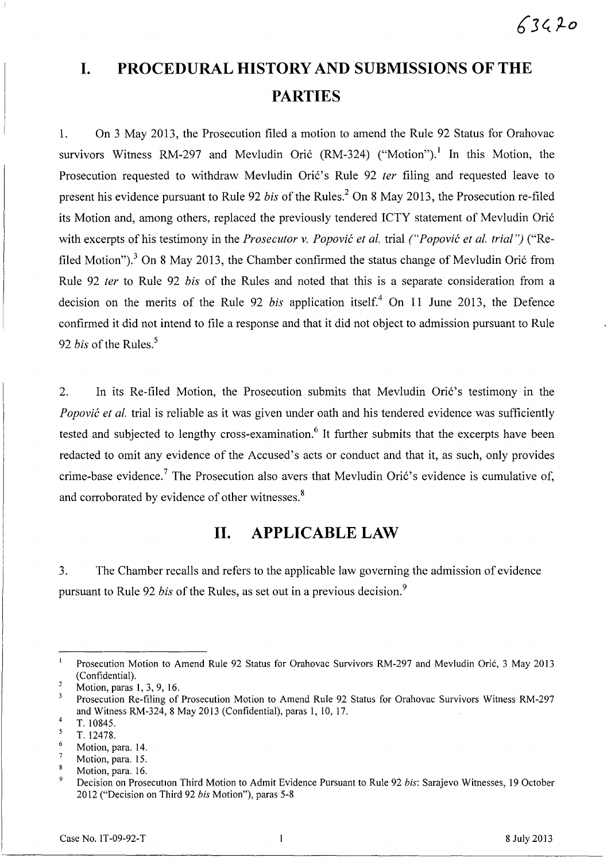# **I. PROCEDURAL HISTORY AND SUBMISSIONS OF THE PARTIES**

1. On 3 May 2013, the Prosecution filed a motion to amend the Rule 92 Status for Orahovac survivors Witness RM-297 and Mevludin Orić  $(RM-324)$  ("Motion").<sup>1</sup> In this Motion, the Prosecution requested to withdraw Mevludin Oric's Rule 92 *ter* filing and requested leave to present his evidence pursuant to Rule 92 *bis* of the Rules.<sup>2</sup> On 8 May 2013, the Prosecution re-filed its Motion and, among others, replaced the previously tendered ICTY statement of Mevludin Ori6 with excerpts of his testimony in the *Prosecutor* v. *Popovic et al.* trial *("Popovic et al. trial")* ("Refiled Motion").<sup>3</sup> On 8 May 2013, the Chamber confirmed the status change of Mevludin Orić from Rule 92 *ter* to Rule 92 *bis* of the Rules and noted that this is a separate consideration from a decision on the merits of the Rule 92 *bis* application itself.<sup>4</sup> On 11 June 2013, the Defence confirmed it did not intend to file a response and that it did not object to admission pursuant to Rule 92 *bis* of the Rules.<sup>5</sup>

2. In its Re-filed Motion, the Prosecution submits that Mevludin Orić's testimony in the *Popović et al.* trial is reliable as it was given under oath and his tendered evidence was sufficiently tested and subjected to lengthy cross-examination.<sup>6</sup> It further submits that the excerpts have been redacted to omit any evidence of the Accused's acts or conduct and that it, as such, only provides crime-base evidence.<sup>7</sup> The Prosecution also avers that Mevludin Orić's evidence is cumulative of, and corroborated by evidence of other witnesses.<sup>8</sup>

# **II. APPLICABLE LAW**

3. The Chamber recalls and refers to the applicable law governing the admission of evidence pursuant to Rule 92 *bis* of the Rules, as set out in a previous decision. <sup>9</sup>

Prosecution Motion to Amend Rule 92 Status for Orahovac Survivors RM-297 and Mevludin Oric, 3 May 2013 (Confidential).

 $\overline{2}$ Motion, paras 1, 3, 9, 16.

 $\overline{\mathbf{3}}$ Prosecution Re-filing of Prosecution Motion to Amend Rule 92 Status for Orahovac Survivors Witness RM-297 and Witness RM-324, 8 May 2013 (Confidential), paras 1, 10, 17. 4

T.I0845.  $\mathfrak{s}$ 

<sup>6</sup>  T.12478.

Motion, para. 14.  $\overline{7}$ 

Motion, para. 15. 8

Motion, para. 16.

<sup>9</sup>  Decision on Prosecution Third Motion to Admit Evidence Pursuant to Rule 92 *his:* Sarajevo Witnesses, 19 October 2012 ("Decision on Third 92 *his* Motion"), paras 5-8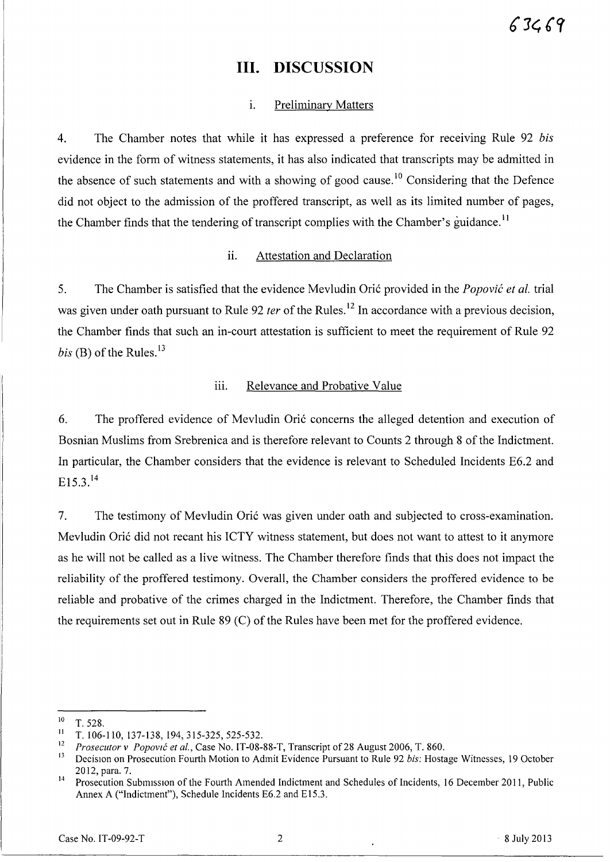# **III. DISCUSSION**

### 1. Preliminary Matters

4. The Chamber notes that while it has expressed a preference for receiving Rule 92 *bis*  evidence in the form of witness statements, it has also indicated that transcripts may be admitted in the absence of such statements and with a showing of good cause.<sup>10</sup> Considering that the Defence did not object to the admission of the proffered transcript, as well as its limited number of pages, the Chamber finds that the tendering of transcript complies with the Chamber's guidance.<sup>11</sup>

### ii. Attestation and Declaration

5. The Chamber is satisfied that the evidence Mevludin Orit provided in the *Popovic et al.* trial was given under oath pursuant to Rule 92 *ter* of the Rules. 12 **In** accordance with a previous decision, the Chamber finds that such an in-court attestation is sufficient to meet the requirement of Rule 92 *bis* (B) of the Rules.<sup>13</sup>

## iii. Relevance and Probative Value

6. The proffered evidence of Mevludin Orit concerns the alleged detention and execution of Bosnian Muslims from Srebrenica and is therefore relevant to Counts 2 through 8 of the Indictment. **In** particular, the Chamber considers that the evidence is relevant to Scheduled Incidents E6.2 and  $E15.3.<sup>14</sup>$ 

7. The testimony of Mevludin Orić was given under oath and subjected to cross-examination. Mevludin Orić did not recant his ICTY witness statement, but does not want to attest to it anymore as he will not be called as a live witness. The Chamber therefore finds that this does not impact the reliability of the proffered testimony. Overall, the Chamber considers the proffered evidence to be reliable and probative of the crimes charged in the Indictment. Therefore, the Chamber finds that the requirements set out in Rule 89 (C) of the Rules have been met for the proffered evidence.

 $\frac{10}{11}$  T. 528.

 $\frac{11}{12}$  T. 106-110, 137-138, 194, 315-325, 525-532.

<sup>&</sup>lt;sup>12</sup> Prosecutor v Popović et al., Case No. IT-08-88-T, Transcript of 28 August 2006, T. 860.<br><sup>13</sup> Decision on Prosecution Fourth Motion to Admit Evidence Pursuant to Pule 92 bis: Hoste

<sup>13</sup> DecisIOn on Prosecution Fourth Motion to Admit Evidence Pursuant to Rule 92 *bis:* Hostage Witnesses, 19 October 2012, para. 7.

<sup>&</sup>lt;sup>14</sup> Prosecution Submission of the Fourth Amended Indictment and Schedules of Incidents, 16 December 2011, Public Annex A ("Indictment"), Schedule Incidents E6.2 and E15.3.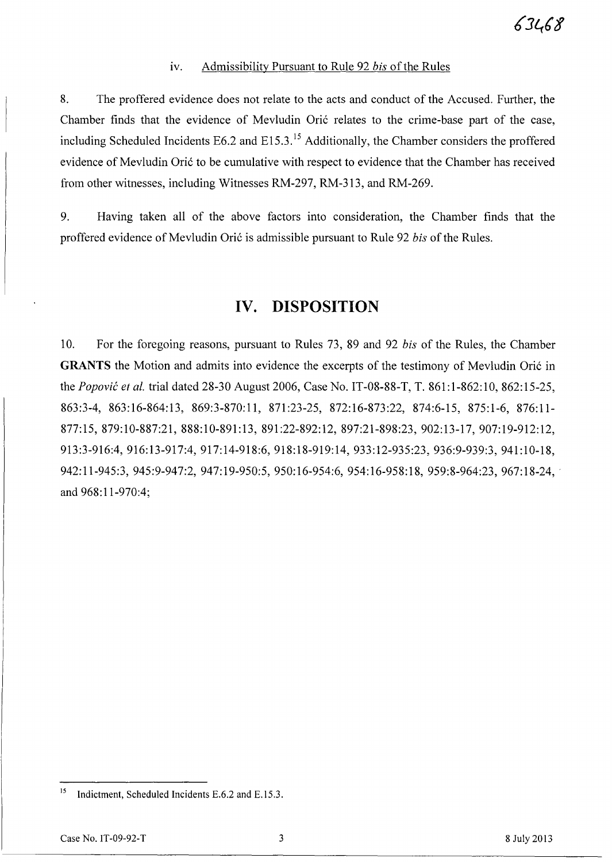#### iv. Admissibility Pursuant to Rule 92 *bis* of the Rules

8. The proffered evidence does not relate to the acts and conduct of the Accused. Further, the Chamber finds that the evidence of Mevludin Oric relates to the crime-base part of the case, including Scheduled Incidents E6.2 and E15.3.<sup>15</sup> Additionally, the Chamber considers the proffered evidence of Mevludin Oric to be cumulative with respect to evidence that the Chamber has received from other witnesses, including Witnesses RM-297, RM-313, and RM-269.

9. Having taken all of the above factors into consideration, the Chamber finds that the proffered evidence of Mevludin Oric is admissible pursuant to Rule 92 *bis* of the Rules.

# **IV. DISPOSITION**

10. For the foregoing reasons, pursuant to Rules 73, 89 and 92 *bis* of the Rules, the Chamber **GRANTS** the Motion and admits into evidence the excerpts of the testimony of Mevludin Oric in the *Popovic et al.* trial dated 28-30 August 2006, Case No. IT-08-88-T, T. 861:1-862:10, 862:15-25, 863:3-4, 863:16-864:13, 869:3-870:11, 871:23-25, 872:16-873:22, 874:6-15, 875:1-6, 876:11- 877:15,879:10-887:21,888:10-891:13, 891:22-892:12, 897:21-898:23,902:13-17,907:19-912:12, 913:3-916:4,916:13-917:4,917:14-918:6, 918:18-919:14, 933:12-935:23, 936:9-939:3, 941:10-18, 942:11-945:3, 945:9-947:2, 947:19-950:5, 950:16-954:6, 954:16-958:18, 959:8-964:23, 967:18-24, and 968:11-970:4;

<sup>&</sup>lt;sup>15</sup> Indictment, Scheduled Incidents E.6.2 and E.15.3.